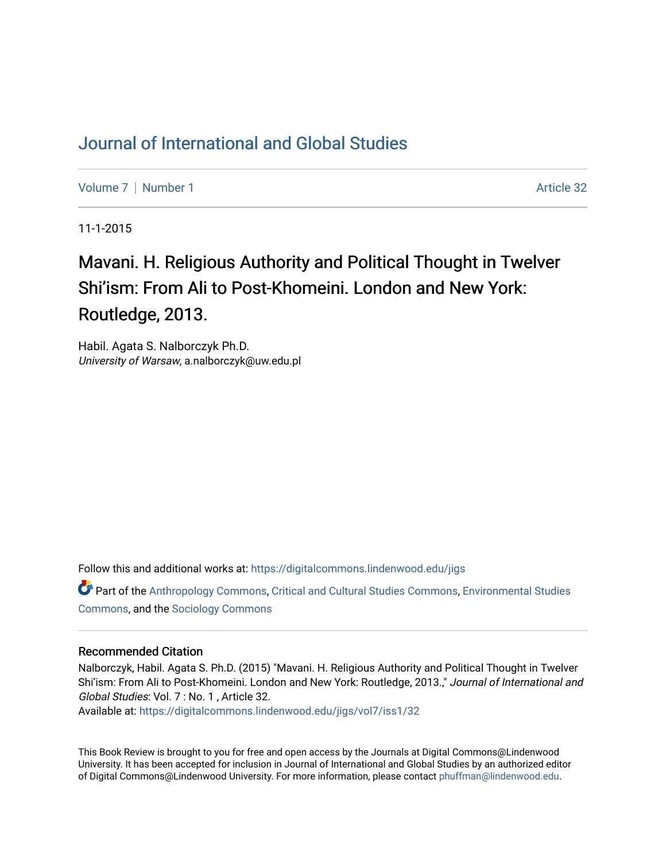## [Journal of International and Global Studies](https://digitalcommons.lindenwood.edu/jigs)

[Volume 7](https://digitalcommons.lindenwood.edu/jigs/vol7) | [Number 1](https://digitalcommons.lindenwood.edu/jigs/vol7/iss1) Article 32

11-1-2015

## Mavani. H. Religious Authority and Political Thought in Twelver Shi'ism: From Ali to Post-Khomeini. London and New York: Routledge, 2013.

Habil. Agata S. Nalborczyk Ph.D. University of Warsaw, a.nalborczyk@uw.edu.pl

Follow this and additional works at: [https://digitalcommons.lindenwood.edu/jigs](https://digitalcommons.lindenwood.edu/jigs?utm_source=digitalcommons.lindenwood.edu%2Fjigs%2Fvol7%2Fiss1%2F32&utm_medium=PDF&utm_campaign=PDFCoverPages) 

Part of the [Anthropology Commons](http://network.bepress.com/hgg/discipline/318?utm_source=digitalcommons.lindenwood.edu%2Fjigs%2Fvol7%2Fiss1%2F32&utm_medium=PDF&utm_campaign=PDFCoverPages), [Critical and Cultural Studies Commons](http://network.bepress.com/hgg/discipline/328?utm_source=digitalcommons.lindenwood.edu%2Fjigs%2Fvol7%2Fiss1%2F32&utm_medium=PDF&utm_campaign=PDFCoverPages), [Environmental Studies](http://network.bepress.com/hgg/discipline/1333?utm_source=digitalcommons.lindenwood.edu%2Fjigs%2Fvol7%2Fiss1%2F32&utm_medium=PDF&utm_campaign=PDFCoverPages)  [Commons](http://network.bepress.com/hgg/discipline/1333?utm_source=digitalcommons.lindenwood.edu%2Fjigs%2Fvol7%2Fiss1%2F32&utm_medium=PDF&utm_campaign=PDFCoverPages), and the [Sociology Commons](http://network.bepress.com/hgg/discipline/416?utm_source=digitalcommons.lindenwood.edu%2Fjigs%2Fvol7%2Fiss1%2F32&utm_medium=PDF&utm_campaign=PDFCoverPages)

## Recommended Citation

Nalborczyk, Habil. Agata S. Ph.D. (2015) "Mavani. H. Religious Authority and Political Thought in Twelver Shi'ism: From Ali to Post-Khomeini. London and New York: Routledge, 2013.," Journal of International and Global Studies: Vol. 7 : No. 1 , Article 32.

Available at: [https://digitalcommons.lindenwood.edu/jigs/vol7/iss1/32](https://digitalcommons.lindenwood.edu/jigs/vol7/iss1/32?utm_source=digitalcommons.lindenwood.edu%2Fjigs%2Fvol7%2Fiss1%2F32&utm_medium=PDF&utm_campaign=PDFCoverPages) 

This Book Review is brought to you for free and open access by the Journals at Digital Commons@Lindenwood University. It has been accepted for inclusion in Journal of International and Global Studies by an authorized editor of Digital Commons@Lindenwood University. For more information, please contact [phuffman@lindenwood.edu](mailto:phuffman@lindenwood.edu).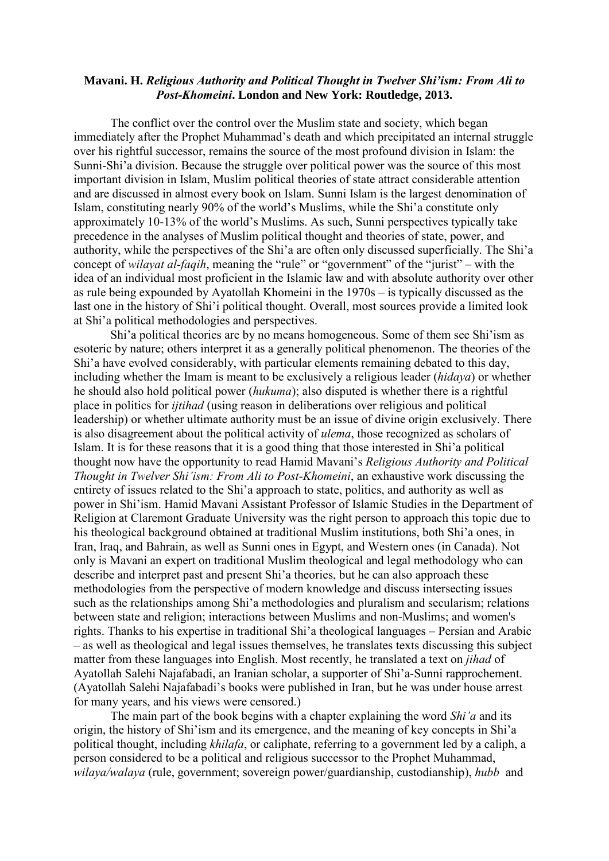## **Mavani. H.** *Religious Authority and Political Thought in Twelver Shi'ism: From Ali to Post-Khomeini***. London and New York: Routledge, 2013.**

The conflict over the control over the Muslim state and society, which began immediately after the Prophet Muhammad's death and which precipitated an internal struggle over his rightful successor, remains the source of the most profound division in Islam: the Sunni-Shi'a division. Because the struggle over political power was the source of this most important division in Islam, Muslim political theories of state attract considerable attention and are discussed in almost every book on Islam. Sunni Islam is the largest denomination of Islam, constituting nearly 90% of the world's Muslims, while the Shi'a constitute only approximately 10-13% of the world's Muslims. As such, Sunni perspectives typically take precedence in the analyses of Muslim political thought and theories of state, power, and authority, while the perspectives of the Shi'a are often only discussed superficially. The Shi'a concept of *wilayat al-faqih*, meaning the "rule" or "government" of the "jurist" – with the idea of an individual most proficient in the Islamic law and with absolute authority over other as rule being expounded by Ayatollah Khomeini in the 1970s – is typically discussed as the last one in the history of Shi'i political thought. Overall, most sources provide a limited look at Shi'a political methodologies and perspectives.

Shi'a political theories are by no means homogeneous. Some of them see Shi'ism as esoteric by nature; others interpret it as a generally political phenomenon. The theories of the Shi'a have evolved considerably, with particular elements remaining debated to this day, including whether the Imam is meant to be exclusively a religious leader (*hidaya*) or whether he should also hold political power (*hukuma*); also disputed is whether there is a rightful place in politics for *ijtihad* (using reason in deliberations over religious and political leadership) or whether ultimate authority must be an issue of divine origin exclusively. There is also disagreement about the political activity of *ulema*, those recognized as scholars of Islam. It is for these reasons that it is a good thing that those interested in Shi'a political thought now have the opportunity to read Hamid Mavani's *Religious Authority and Political Thought in Twelver Shi'ism: From Ali to Post-Khomeini*, an exhaustive work discussing the entirety of issues related to the Shi'a approach to state, politics, and authority as well as power in Shi'ism. Hamid Mavani Assistant Professor of Islamic Studies in the Department of Religion at Claremont Graduate University was the right person to approach this topic due to his theological background obtained at traditional Muslim institutions, both Shi'a ones, in Iran, Iraq, and Bahrain, as well as Sunni ones in Egypt, and Western ones (in Canada). Not only is Mavani an expert on traditional Muslim theological and legal methodology who can describe and interpret past and present Shi'a theories, but he can also approach these methodologies from the perspective of modern knowledge and discuss intersecting issues such as the relationships among Shi'a methodologies and pluralism and secularism; relations between state and religion; interactions between Muslims and non-Muslims; and women's rights. Thanks to his expertise in traditional Shi'a theological languages – Persian and Arabic – as well as theological and legal issues themselves, he translates texts discussing this subject matter from these languages into English. Most recently, he translated a text on *jihad* of Ayatollah Salehi Najafabadi, an Iranian scholar, a supporter of Shi'a-Sunni rapprochement. (Ayatollah Salehi Najafabadi's books were published in Iran, but he was under house arrest for many years, and his views were censored.)

The main part of the book begins with a chapter explaining the word *Shi'a* and its origin, the history of Shi'ism and its emergence, and the meaning of key concepts in Shi'a political thought, including *khilafa*, or caliphate, referring to a government led by a caliph, a person considered to be a political and religious successor to the Prophet Muhammad, *wilaya/walaya* (rule, government; sovereign power/guardianship, custodianship), *hubb* and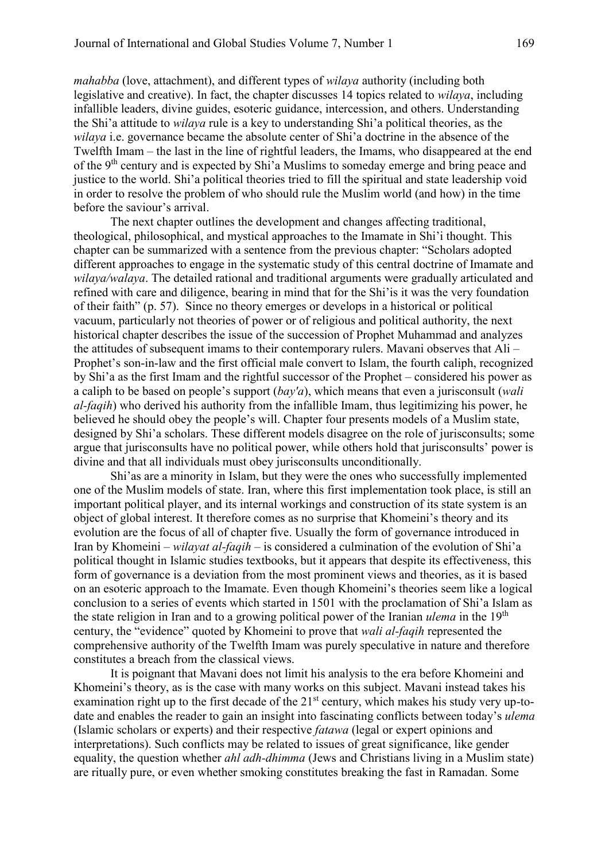*mahabba* (love, attachment), and different types of *wilaya* authority (including both legislative and creative). In fact, the chapter discusses 14 topics related to *wilaya*, including infallible leaders, divine guides, esoteric guidance, intercession, and others. Understanding the Shi'a attitude to *wilaya* rule is a key to understanding Shi'a political theories, as the *wilaya* i.e. governance became the absolute center of Shi'a doctrine in the absence of the Twelfth Imam – the last in the line of rightful leaders, the Imams, who disappeared at the end of the 9<sup>th</sup> century and is expected by Shi'a Muslims to someday emerge and bring peace and justice to the world. Shi'a political theories tried to fill the spiritual and state leadership void in order to resolve the problem of who should rule the Muslim world (and how) in the time before the saviour's arrival.

The next chapter outlines the development and changes affecting traditional, theological, philosophical, and mystical approaches to the Imamate in Shi'i thought. This chapter can be summarized with a sentence from the previous chapter: "Scholars adopted different approaches to engage in the systematic study of this central doctrine of Imamate and *wilaya/walaya*. The detailed rational and traditional arguments were gradually articulated and refined with care and diligence, bearing in mind that for the Shi'is it was the very foundation of their faith" (p. 57). Since no theory emerges or develops in a historical or political vacuum, particularly not theories of power or of religious and political authority, the next historical chapter describes the issue of the succession of Prophet Muhammad and analyzes the attitudes of subsequent imams to their contemporary rulers. Mavani observes that Ali – Prophet's son-in-law and the first official male convert to Islam, the fourth caliph, recognized by Shi'a as the first Imam and the rightful successor of the Prophet – considered his power as a caliph to be based on people's support (*bay'a*), which means that even a jurisconsult (*wali al-faqih*) who derived his authority from the infallible Imam, thus legitimizing his power, he believed he should obey the people's will. Chapter four presents models of a Muslim state, designed by Shi'a scholars. These different models disagree on the role of jurisconsults; some argue that jurisconsults have no political power, while others hold that jurisconsults' power is divine and that all individuals must obey jurisconsults unconditionally.

Shi'as are a minority in Islam, but they were the ones who successfully implemented one of the Muslim models of state. Iran, where this first implementation took place, is still an important political player, and its internal workings and construction of its state system is an object of global interest. It therefore comes as no surprise that Khomeini's theory and its evolution are the focus of all of chapter five. Usually the form of governance introduced in Iran by Khomeini – *wilayat al-faqih* – is considered a culmination of the evolution of Shi'a political thought in Islamic studies textbooks, but it appears that despite its effectiveness, this form of governance is a deviation from the most prominent views and theories, as it is based on an esoteric approach to the Imamate. Even though Khomeini's theories seem like a logical conclusion to a series of events which started in 1501 with the proclamation of Shi'a Islam as the state religion in Iran and to a growing political power of the Iranian *ulema* in the 19th century, the "evidence" quoted by Khomeini to prove that *wali al-faqih* represented the comprehensive authority of the Twelfth Imam was purely speculative in nature and therefore constitutes a breach from the classical views.

It is poignant that Mavani does not limit his analysis to the era before Khomeini and Khomeini's theory, as is the case with many works on this subject. Mavani instead takes his examination right up to the first decade of the 21<sup>st</sup> century, which makes his study very up-todate and enables the reader to gain an insight into fascinating conflicts between today's *ulema* (Islamic scholars or experts) and their respective *fatawa* (legal or expert opinions and interpretations). Such conflicts may be related to issues of great significance, like gender equality, the question whether *ahl adh-dhimma* (Jews and Christians living in a Muslim state) are ritually pure, or even whether smoking constitutes breaking the fast in Ramadan. Some